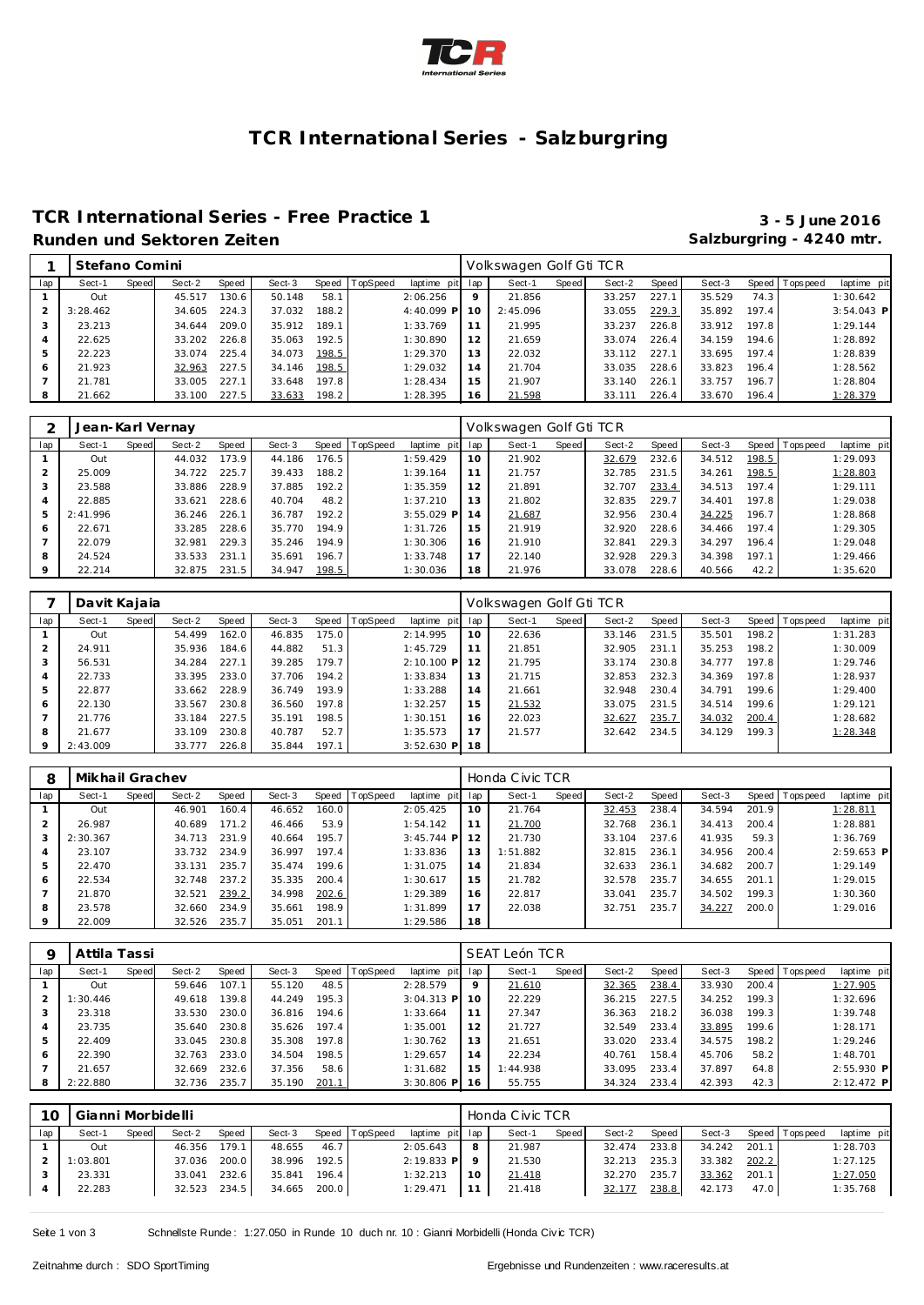

# **TCR International Series - Salzburgring**

### **TCR International Series - Free Practice 1 3 - 5 June 2016** Runden und Sektoren Zeiten **Salzburgring - 4240 mtr.** Salzburgring - 4240 mtr.

|                | Stefano Comini |       |        |       |        |       |          |                 |         | Volkswagen Golf Gti TCR |       |        |       |        |       |                 |              |
|----------------|----------------|-------|--------|-------|--------|-------|----------|-----------------|---------|-------------------------|-------|--------|-------|--------|-------|-----------------|--------------|
| lap            | Sect-1         | Speed | Sect-2 | Speed | Sect-3 | Speed | TopSpeed | laptime pit lap |         | Sect-1                  | Speed | Sect-2 | Speed | Sect-3 |       | Speed Tops peed | laptime pit  |
|                | Out            |       | 45.517 | 130.6 | 50.148 | 58.1  |          | 2:06.256        | $\circ$ | 21.856                  |       | 33.257 | 227.1 | 35.529 | 74.3  |                 | 1:30.642     |
|                | 3:28.462       |       | 34.605 | 224.3 | 37.032 | 188.2 |          | 4:40.099 P 10   |         | 2:45.096                |       | 33.055 | 229.3 | 35.892 | 197.4 |                 | $3:54.043$ P |
|                | 23.213         |       | 34.644 | 209.0 | 35.912 | 189.1 |          | 1:33.769        |         | 21.995                  |       | 33.237 | 226.8 | 33.912 | 197.8 |                 | 1:29.144     |
| $\overline{4}$ | 22.625         |       | 33.202 | 226.8 | 35.063 | 192.5 |          | 1:30.890        | 12      | 21.659                  |       | 33.074 | 226.4 | 34.159 | 194.6 |                 | 1:28.892     |
| 5              | 22.223         |       | 33.074 | 225.4 | 34.073 | 198.5 |          | 1:29.370        | 13      | 22.032                  |       | 33.112 | 227.1 | 33.695 | 197.4 |                 | 1:28.839     |
| 6              | 21.923         |       | 32.963 | 227.5 | 34.146 | 198.5 |          | 1:29.032        | 14      | 21.704                  |       | 33.035 | 228.6 | 33.823 | 196.4 |                 | 1:28.562     |
|                | 21.781         |       | 33.005 | 227.1 | 33.648 | 197.8 |          | 1:28.434        | 15      | 21.907                  |       | 33.140 | 226.1 | 33.757 | 196.7 |                 | 1:28.804     |
| 8              | 21.662         |       | 33.100 | 227.5 | 33.633 | 198.2 |          | 1:28.395        | 16      | 21.598                  |       | 33.111 | 226.4 | 33.670 | 196.4 |                 | 1:28.379     |

|                | Jean-Karl Vernay |       |        |       |        |       |          |              |     | Volkswagen Golf Gti TCR |       |        |       |        |       |                |             |
|----------------|------------------|-------|--------|-------|--------|-------|----------|--------------|-----|-------------------------|-------|--------|-------|--------|-------|----------------|-------------|
| lap            | Sect-1           | Speed | Sect-2 | Speed | Sect-3 | Speed | TopSpeed | laptime pit  | lap | Sect-1                  | Speed | Sect-2 | Speed | Sect-3 |       | Speed Topspeed | laptime pit |
|                | Out              |       | 44.032 | 173.9 | 44.186 | 176.5 |          | 1:59.429     | 10  | 21.902                  |       | 32.679 | 232.6 | 34.512 | 198.5 |                | 1:29.093    |
| 2              | 25.009           |       | 34.722 | 225.7 | 39.433 | 188.2 |          | 1:39.164     | 11  | 21.757                  |       | 32.785 | 231.5 | 34.261 | 198.5 |                | 1:28.803    |
| 3              | 23.588           |       | 33.886 | 228.9 | 37.885 | 192.2 |          | 1:35.359     | 12  | 21.891                  |       | 32.707 | 233.4 | 34.513 | 197.4 |                | 1:29.111    |
| $\overline{4}$ | 22.885           |       | 33.621 | 228.6 | 40.704 | 48.2  |          | 1:37.210     | 13  | 21.802                  |       | 32.835 | 229.7 | 34.401 | 197.8 |                | 1:29.038    |
| 5              | 2:41.996         |       | 36.246 | 226.1 | 36.787 | 192.2 |          | $3:55.029$ P | 14  | 21.687                  |       | 32.956 | 230.4 | 34.225 | 196.7 |                | 1:28.868    |
| 6              | 22.671           |       | 33.285 | 228.6 | 35.770 | 194.9 |          | 1:31.726     | 15  | 21.919                  |       | 32.920 | 228.6 | 34.466 | 197.4 |                | 1:29.305    |
|                | 22.079           |       | 32.981 | 229.3 | 35.246 | 194.9 |          | 1:30.306     | 16  | 21.910                  |       | 32.841 | 229.3 | 34.297 | 196.4 |                | 1:29.048    |
| 8              | 24.524           |       | 33.533 | 231.1 | 35.691 | 196.7 |          | 1:33.748     | 17  | 22.140                  |       | 32.928 | 229.3 | 34.398 | 197.1 |                | 1:29.466    |
| $\circ$        | 22.214           |       | 32.875 | 231.5 | 34.947 | 198.5 |          | 1:30.036     | 18  | 21.976                  |       | 33.078 | 228.6 | 40.566 | 42.2  |                | 1:35.620    |

|     | Davit Kajaia |       |        |       |        |       |                 |              |     | Volkswagen Golf Gti TCR |       |        |       |        |       |                |             |
|-----|--------------|-------|--------|-------|--------|-------|-----------------|--------------|-----|-------------------------|-------|--------|-------|--------|-------|----------------|-------------|
| lap | Sect-1       | Speed | Sect-2 | Speed | Sect-3 | Speed | <b>TopSpeed</b> | laptime pit  | lap | Sect-1                  | Speed | Sect-2 | Speed | Sect-3 |       | Speed Topspeed | laptime pit |
|     | Out          |       | 54.499 | 162.0 | 46.835 | 175.0 |                 | 2:14.995     | 10  | 22.636                  |       | 33.146 | 231.5 | 35.501 | 198.2 |                | 1:31.283    |
|     | 24.911       |       | 35.936 | 184.6 | 44.882 | 51.3  |                 | 1:45.729     | 11  | 21.851                  |       | 32.905 | 231.1 | 35.253 | 198.2 |                | 1:30.009    |
|     | 56.531       |       | 34.284 | 227.1 | 39.285 | 179.7 |                 | $2:10.100$ P |     | 21.795                  |       | 33.174 | 230.8 | 34.777 | 197.8 |                | 1:29.746    |
| 4   | 22.733       |       | 33.395 | 233.0 | 37.706 | 194.2 |                 | 1:33.834     | 13  | 21.715                  |       | 32.853 | 232.3 | 34.369 | 197.8 |                | 1:28.937    |
| 5   | 22.877       |       | 33.662 | 228.9 | 36.749 | 193.9 |                 | 1:33.288     | 14  | 21.661                  |       | 32.948 | 230.4 | 34.791 | 199.6 |                | 1:29.400    |
| 6   | 22.130       |       | 33.567 | 230.8 | 36.560 | 197.8 |                 | 1:32.257     | 15  | 21.532                  |       | 33.075 | 231.5 | 34.514 | 199.6 |                | 1:29.121    |
|     | 21.776       |       | 33.184 | 227.5 | 35.191 | 198.5 |                 | 1:30.151     | 16  | 22.023                  |       | 32.627 | 235.7 | 34.032 | 200.4 |                | 1:28.682    |
| 8   | 21.677       |       | 33.109 | 230.8 | 40.787 | 52.7  |                 | 1:35.573     | 17  | 21.577                  |       | 32.642 | 234.5 | 34.129 | 199.3 |                | 1:28.348    |
| 9   | 2:43.009     |       | 33.777 | 226.8 | 35.844 | 197.1 |                 | $3:52.630$ P | 18  |                         |       |        |       |        |       |                |             |

| 8   | Mikhail Grachev |       |        |       |        |       |                 |              |     | Honda Civic TCR |       |        |       |        |       |                 |              |
|-----|-----------------|-------|--------|-------|--------|-------|-----------------|--------------|-----|-----------------|-------|--------|-------|--------|-------|-----------------|--------------|
| lap | Sect-1          | Speed | Sect-2 | Speed | Sect-3 | Speed | <b>TopSpeed</b> | laptime pit  | lap | Sect-1          | Speed | Sect-2 | Speed | Sect-3 |       | Speed Tops peed | laptime pit  |
|     | Out             |       | 46.901 | 160.4 | 46.652 | 160.0 |                 | 2:05.425     | 10  | 21.764          |       | 32.453 | 238.4 | 34.594 | 201.9 |                 | 1:28.811     |
|     | 26.987          |       | 40.689 | 171.2 | 46.466 | 53.9  |                 | 1:54.142     | 11  | 21.700          |       | 32.768 | 236.1 | 34.413 | 200.4 |                 | 1:28.881     |
|     | 2:30.367        |       | 34.713 | 231.9 | 40.664 | 195.7 |                 | $3:45.744$ P | 12  | 21.730          |       | 33.104 | 237.6 | 41.935 | 59.3  |                 | 1:36.769     |
| 4   | 23.107          |       | 33.732 | 234.9 | 36.997 | 197.4 |                 | 1:33.836     | 13  | 1:51.882        |       | 32.815 | 236.1 | 34.956 | 200.4 |                 | $2:59.653$ P |
| 5   | 22.470          |       | 33.131 | 235.7 | 35.474 | 199.6 |                 | 1:31.075     | 14  | 21.834          |       | 32.633 | 236.1 | 34.682 | 200.7 |                 | 1:29.149     |
| 6   | 22.534          |       | 32.748 | 237.2 | 35.335 | 200.4 |                 | 1:30.617     | 15  | 21.782          |       | 32.578 | 235.7 | 34.655 | 201.1 |                 | 1:29.015     |
|     | 21.870          |       | 32.521 | 239.2 | 34.998 | 202.6 |                 | 1:29.389     | 16  | 22.817          |       | 33.041 | 235.7 | 34.502 | 199.3 |                 | 1:30.360     |
| 8   | 23.578          |       | 32.660 | 234.9 | 35.661 | 198.9 |                 | 1:31.899     | 17  | 22.038          |       | 32.751 | 235.7 | 34.227 | 200.0 |                 | 1:29.016     |
|     | 22.009          |       | 32.526 | 235.7 | 35.051 | 201.1 |                 | 1:29.586     | 18  |                 |       |        |       |        |       |                 |              |

|     | Attila Tassi |       |        |       |        |       |                  |              |     | SEAT León TCR |       |        |       |        |       |            |              |
|-----|--------------|-------|--------|-------|--------|-------|------------------|--------------|-----|---------------|-------|--------|-------|--------|-------|------------|--------------|
| lap | Sect-1       | Speed | Sect-2 | Speed | Sect-3 |       | Speed   TopSpeed | laptime pit  | lap | Sect-1        | Speed | Sect-2 | Speed | Sect-3 | Speed | T ops peed | laptime pit  |
|     | Out          |       | 59.646 | 107.1 | 55.120 | 48.5  |                  | 2:28.579     | 9   | 21.610        |       | 32.365 | 238.4 | 33.930 | 200.4 |            | 1:27.905     |
|     | 1:30.446     |       | 49.618 | 139.8 | 44.249 | 195.3 |                  | $3:04.313$ P | 10  | 22.229        |       | 36.215 | 227.5 | 34.252 | 199.3 |            | 1:32.696     |
| 3   | 23.318       |       | 33.530 | 230.0 | 36.816 | 194.6 |                  | 1:33.664     |     | 27.347        |       | 36.363 | 218.2 | 36.038 | 199.3 |            | 1:39.748     |
| 4   | 23.735       |       | 35.640 | 230.8 | 35.626 | 197.4 |                  | 1:35.001     | 12  | 21.727        |       | 32.549 | 233.4 | 33.895 | 199.6 |            | 1:28.171     |
| 5   | 22.409       |       | 33.045 | 230.8 | 35.308 | 197.8 |                  | 1:30.762     | 13  | 21.651        |       | 33.020 | 233.4 | 34.575 | 198.2 |            | 1:29.246     |
| 6   | 22.390       |       | 32.763 | 233.0 | 34.504 | 198.5 |                  | 1:29.657     | 14  | 22.234        |       | 40.761 | 158.4 | 45.706 | 58.2  |            | 1:48.701     |
|     | 21.657       |       | 32.669 | 232.6 | 37.356 | 58.6  |                  | 1:31.682     | 15  | 1:44.938      |       | 33.095 | 233.4 | 37.897 | 64.8  |            | $2:55.930$ P |
| 8   | 2:22.880     |       | 32.736 | 235.7 | 35.190 | 201.1 |                  | $3:30.806$ P | 16  | 55.755        |       | 34.324 | 233.4 | 42.393 | 42.3  |            | 2:12.472 P   |

| 10  | Gianni Morbidelli<br>Speed<br>Speed TopSpeed<br>Sect-2<br>Sect-3<br>Sect-1<br><b>Speed</b><br>179.1<br>46.356<br>46.7<br>48.655<br>Out |  |        |       |        |       |  |                 | Honda Civic TCR |       |        |       |        |       |                 |             |
|-----|----------------------------------------------------------------------------------------------------------------------------------------|--|--------|-------|--------|-------|--|-----------------|-----------------|-------|--------|-------|--------|-------|-----------------|-------------|
| lap |                                                                                                                                        |  |        |       |        |       |  | laptime pit lap | Sect-1          | Speed | Sect-2 | Speed | Sect-3 |       | Speed Tops peed | laptime pit |
|     |                                                                                                                                        |  |        |       |        |       |  | 2:05.643        | 21.987          |       | 32.474 | 233.8 | 34.242 | 201.1 |                 | 1:28.703    |
|     | 1:03.801                                                                                                                               |  | 37.036 | 200.0 | 38.996 | 192.5 |  | $2:19.833$ P    | 21.530          |       | 32.213 | 235.3 | 33.382 | 202.2 |                 | 1:27.125    |
|     | 23.331                                                                                                                                 |  | 33.041 | 232.6 | 35.841 | 196.4 |  | 1:32.213        | 21.418          |       | 32.270 | 235.7 | 33.362 | 201.1 |                 | 1:27.050    |
|     | 22.283                                                                                                                                 |  | 32.523 | 234.5 | 34.665 | 200.0 |  | 1:29.471        | 21.418          |       | 32.177 | 238.8 | 42.173 | 47.0  |                 | 1:35.768    |
|     |                                                                                                                                        |  |        |       |        |       |  |                 |                 |       |        |       |        |       |                 |             |

Seite 1 von 3 Schnellste Runde : 1:27.050 in Runde 10 duch nr. 10 : Gianni Morbidelli (Honda Civic TCR)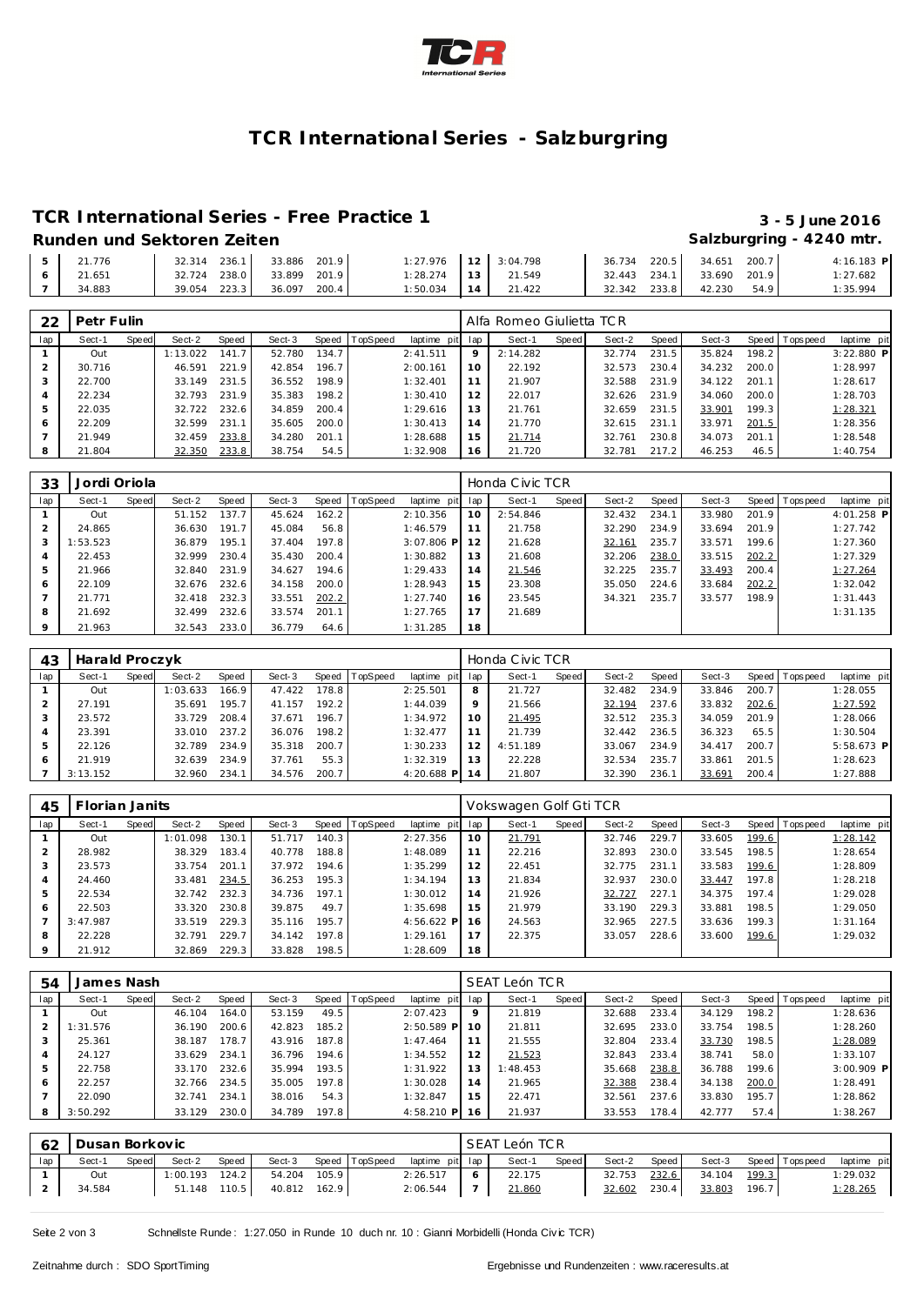

### **TCR International Series - Salzburgring**

### **TCR International Series - Free Practice 1 3 - 5 June 2016**

### **Runden und Sektoren Zeiten Salzburgring - 4240 mtr.**

### 21.776 32.314 236.1 33.886 201.9 1:27.976 21.651 32.724 238.0 33.899 201.9 1:28.274 7 34.883 39.054 223.3 3:04.798 36.734 220.5 34.651 200.7 4:16.183 **P** 21.549 32.443 234.1 33.690 201.9 1:27.682 21.422 32.342 233.8 42.230 54.9 1:35.994

| 22  | Petr Fulin |       |          |       |        |       |                 |             |     | Alfa Romeo Giulietta TCR |       |        |       |        |                    |                 |              |
|-----|------------|-------|----------|-------|--------|-------|-----------------|-------------|-----|--------------------------|-------|--------|-------|--------|--------------------|-----------------|--------------|
| lap | Sect-1     | Speed | Sect-2   | Speed | Sect-3 | Speed | <b>TopSpeed</b> | laptime pit | lap | Sect-1                   | Speed | Sect-2 | Speed | Sect-3 |                    | Speed Tops peed | laptime pit  |
|     | Out        |       | 1:13.022 | 141.7 | 52.780 | 134.7 |                 | 2:41.511    | 9   | 2:14.282                 |       | 32.774 | 231.5 | 35.824 | 198.2              |                 | $3:22.880$ P |
|     | 30.716     |       | 46.591   | 221.9 | 42.854 | 196.7 |                 | 2:00.161    | 10  | 22.192                   |       | 32.573 | 230.4 | 34.232 | 200.0              |                 | 1:28.997     |
|     | 22.700     |       | 33.149   | 231.5 | 36.552 | 198.9 |                 | 1:32.401    | 11  | 21.907                   |       | 32.588 | 231.9 | 34.122 | 201.1              |                 | 1:28.617     |
|     | 22.234     |       | 32.793   | 231.9 | 35.383 | 198.2 |                 | 1:30.410    | 12  | 22.017                   |       | 32.626 | 231.9 | 34.060 | 200.0              |                 | 1:28.703     |
|     | 22.035     |       | 32.722   | 232.6 | 34.859 | 200.4 |                 | 1:29.616    | 13  | 21.761                   |       | 32.659 | 231.5 | 33.901 | 199.3 <sub>1</sub> |                 | 1:28.321     |
| 6   | 22.209     |       | 32.599   | 231.1 | 35.605 | 200.0 |                 | 1:30.413    | 14  | 21.770                   |       | 32.615 | 231.1 | 33.971 | 201.5              |                 | 1:28.356     |
|     | 21.949     |       | 32.459   | 233.8 | 34.280 | 201.1 |                 | 1:28.688    | 15  | 21.714                   |       | 32.761 | 230.8 | 34.073 | 201.1              |                 | 1:28.548     |
|     | 21.804     |       | 32.350   | 233.8 | 38.754 | 54.5  |                 | 1:32.908    | 16  | 21.720                   |       | 32.781 | 217.2 | 46.253 | 46.5               |                 | 1:40.754     |

| 33      | Jordi Oriola |       |        |       |        |       |          |              |     | Honda Civic TCR |       |        |       |        |       |                |              |
|---------|--------------|-------|--------|-------|--------|-------|----------|--------------|-----|-----------------|-------|--------|-------|--------|-------|----------------|--------------|
| lap     | Sect-1       | Speed | Sect-2 | Speed | Sect-3 | Speed | TopSpeed | laptime pit  | lap | Sect-1          | Speed | Sect-2 | Speed | Sect-3 |       | Speed Topspeed | laptime pit  |
|         | Out          |       | 51.152 | 137.7 | 45.624 | 162.2 |          | 2:10.356     | 10  | 2:54.846        |       | 32.432 | 234.1 | 33.980 | 201.9 |                | $4:01.258$ P |
|         | 24.865       |       | 36.630 | 191.7 | 45.084 | 56.8  |          | 1:46.579     | 11  | 21.758          |       | 32.290 | 234.9 | 33.694 | 201.9 |                | 1:27.742     |
| 3       | 1:53.523     |       | 36.879 | 195.1 | 37.404 | 197.8 |          | $3:07.806$ P | 12  | 21.628          |       | 32.161 | 235.7 | 33.571 | 199.6 |                | 1:27.360     |
| 4       | 22.453       |       | 32.999 | 230.4 | 35.430 | 200.4 |          | 1:30.882     | 13  | 21.608          |       | 32.206 | 238.0 | 33.515 | 202.2 |                | 1:27.329     |
| 5       | 21.966       |       | 32.840 | 231.9 | 34.627 | 194.6 |          | 1:29.433     | 14  | 21.546          |       | 32.225 | 235.7 | 33.493 | 200.4 |                | 1:27.264     |
| 6       | 22.109       |       | 32.676 | 232.6 | 34.158 | 200.0 |          | 1:28.943     | 15  | 23.308          |       | 35.050 | 224.6 | 33.684 | 202.2 |                | 1:32.042     |
|         | 21.771       |       | 32.418 | 232.3 | 33.551 | 202.2 |          | 1:27.740     | 16  | 23.545          |       | 34.321 | 235.7 | 33.577 | 198.9 |                | 1:31.443     |
| 8       | 21.692       |       | 32.499 | 232.6 | 33.574 | 201.1 |          | 1:27.765     | 17  | 21.689          |       |        |       |        |       |                | 1:31.135     |
| $\circ$ | 21.963       |       | 32.543 | 233.0 | 36.779 | 64.6  |          | 1:31.285     | 18  |                 |       |        |       |        |       |                |              |

| 43  | Harald Proczyk |       |          |       |        |       |                |              |                 | Honda Civic TCR |       |        |       |        |       |           |              |
|-----|----------------|-------|----------|-------|--------|-------|----------------|--------------|-----------------|-----------------|-------|--------|-------|--------|-------|-----------|--------------|
| lap | Sect-1         | Speed | Sect-2   | Speed | Sect-3 |       | Speed TopSpeed | laptime pit  | lap             | Sect-1          | Speed | Sect-2 | Speed | Sect-3 | Speed | Tops peed | laptime pit  |
|     | Out            |       | 1:03.633 | 166.9 | 47.422 | 178.8 |                | 2:25.501     | 8               | 21.727          |       | 32.482 | 234.9 | 33.846 | 200.7 |           | 1:28.055     |
|     | 27.191         |       | 35.691   | 195.7 | 41.157 | 192.2 |                | 1:44.039     | 9               | 21.566          |       | 32.194 | 237.6 | 33.832 | 202.6 |           | 1:27.592     |
|     | 23.572         |       | 33.729   | 208.4 | 37.671 | 196.7 |                | 1:34.972     | 10 <sup>°</sup> | 21.495          |       | 32.512 | 235.3 | 34.059 | 201.9 |           | 1:28.066     |
|     | 23.391         |       | 33.010   | 237.2 | 36.076 | 198.2 |                | 1:32.477     | 11              | 21.739          |       | 32.442 | 236.5 | 36.323 | 65.5  |           | 1:30.504     |
|     | 22.126         |       | 32.789   | 234.9 | 35.318 | 200.7 |                | 1:30.233     | 12              | 4:51.189        |       | 33.067 | 234.9 | 34.417 | 200.7 |           | $5:58.673$ P |
| 6   | 21.919         |       | 32.639   | 234.9 | 37.761 | 55.3  |                | 1:32.319     | 13              | 22.228          |       | 32.534 | 235.7 | 33.861 | 201.5 |           | 1:28.623     |
|     | 3:13.152       |       | 32.960   | 234.1 | 34.576 | 200.7 |                | $4:20.688$ P | 14              | 21.807          |       | 32.390 | 236.1 | 33.691 | 200.4 |           | 1:27.888     |

| 45  | Florian Janits |       |          |       |        |       |                |              |     | Vokswagen Golf Gti TCR |       |        |       |        |       |                 |             |
|-----|----------------|-------|----------|-------|--------|-------|----------------|--------------|-----|------------------------|-------|--------|-------|--------|-------|-----------------|-------------|
| lap | Sect-1         | Speed | Sect-2   | Speed | Sect-3 |       | Speed TopSpeed | laptime pit  | lap | Sect-1                 | Speed | Sect-2 | Speed | Sect-3 |       | Speed Tops peed | laptime pit |
|     | Out            |       | 1:01.098 | 130.1 | 51.717 | 140.3 |                | 2:27.356     | 10  | 21.791                 |       | 32.746 | 229.7 | 33.605 | 199.6 |                 | 1:28.142    |
|     | 28.982         |       | 38.329   | 183.4 | 40.778 | 188.8 |                | 1:48.089     |     | 22.216                 |       | 32.893 | 230.0 | 33.545 | 198.5 |                 | 1:28.654    |
| 3   | 23.573         |       | 33.754   | 201.1 | 37.972 | 194.6 |                | 1:35.299     | 12  | 22.451                 |       | 32.775 | 231.1 | 33.583 | 199.6 |                 | 1:28.809    |
| 4   | 24.460         |       | 33.481   | 234.5 | 36.253 | 195.3 |                | 1:34.194     | 13  | 21.834                 |       | 32.937 | 230.0 | 33.447 | 197.8 |                 | 1:28.218    |
| 5   | 22.534         |       | 32.742   | 232.3 | 34.736 | 197.1 |                | 1:30.012     | 14  | 21.926                 |       | 32.727 | 227.1 | 34.375 | 197.4 |                 | 1:29.028    |
| 6   | 22.503         |       | 33.320   | 230.8 | 39.875 | 49.7  |                | 1:35.698     | 15  | 21.979                 |       | 33.190 | 229.3 | 33.881 | 198.5 |                 | 1:29.050    |
|     | 3:47.987       |       | 33.519   | 229.3 | 35.116 | 195.7 |                | $4:56.622$ P | -16 | 24.563                 |       | 32.965 | 227.5 | 33.636 | 199.3 |                 | 1:31.164    |
| 8   | 22.228         |       | 32.791   | 229.7 | 34.142 | 197.8 |                | 1:29.161     | 17  | 22.375                 |       | 33.057 | 228.6 | 33.600 | 199.6 |                 | 1:29.032    |
| 9   | 21.912         |       | 32.869   | 229.3 | 33.828 | 198.5 |                | 1:28.609     | 18  |                        |       |        |       |        |       |                 |             |

| 54  | James Nash |       |        |       |        |       |                  |              |             | SEAT León TCR |       |        |       |        |       |            |              |
|-----|------------|-------|--------|-------|--------|-------|------------------|--------------|-------------|---------------|-------|--------|-------|--------|-------|------------|--------------|
| lap | Sect-1     | Speed | Sect-2 | Speed | Sect-3 |       | Speed   TopSpeed | laptime pit  | lap         | Sect-1        | Speed | Sect-2 | Speed | Sect-3 | Speed | T ops peed | laptime pit  |
|     | Out        |       | 46.104 | 164.0 | 53.159 | 49.5  |                  | 2:07.423     | $\mathsf Q$ | 21.819        |       | 32.688 | 233.4 | 34.129 | 198.2 |            | 1:28.636     |
|     | 1:31.576   |       | 36.190 | 200.6 | 42.823 | 185.2 |                  | $2:50.589$ P | 10          | 21.811        |       | 32.695 | 233.0 | 33.754 | 198.5 |            | 1:28.260     |
| 3   | 25.361     |       | 38.187 | 178.7 | 43.916 | 187.8 |                  | 1:47.464     |             | 21.555        |       | 32.804 | 233.4 | 33.730 | 198.5 |            | 1:28.089     |
| 4   | 24.127     |       | 33.629 | 234.1 | 36.796 | 194.6 |                  | 1:34.552     | 12          | 21.523        |       | 32.843 | 233.4 | 38.741 | 58.0  |            | 1:33.107     |
| 5   | 22.758     |       | 33.170 | 232.6 | 35.994 | 193.5 |                  | 1:31.922     | 13          | 1:48.453      |       | 35.668 | 238.8 | 36.788 | 199.6 |            | $3:00.909$ P |
| 6   | 22.257     |       | 32.766 | 234.5 | 35.005 | 197.8 |                  | 1:30.028     | 14          | 21.965        |       | 32.388 | 238.4 | 34.138 | 200.0 |            | 1:28.491     |
|     | 22.090     |       | 32.741 | 234.1 | 38.016 | 54.3  |                  | 1:32.847     | 15          | 22.471        |       | 32.561 | 237.6 | 33.830 | 195.7 |            | 1:28.862     |
| 8   | 3:50.292   |       | 33.129 | 230.0 | 34.789 | 197.8 |                  | 4:58.210 P   | 16          | 21.937        |       | 33.553 | 178.4 | 42.777 | 57.4  |            | 1:38.267     |

|     |        | 62   Dusan Borkovic<br>Speed TopSpeed<br>Speed<br>Sect-3<br>Sect-2<br>Speed<br>$1:00.193$ $124.2$<br>105.9<br>54.204<br>Out |        |       |        |       |  |                 | SEAT León TCR |       |        |       |        |       |                |                 |
|-----|--------|-----------------------------------------------------------------------------------------------------------------------------|--------|-------|--------|-------|--|-----------------|---------------|-------|--------|-------|--------|-------|----------------|-----------------|
| lap | Sect-1 |                                                                                                                             |        |       |        |       |  | laptime pit lap | Sect-1        | Speed | Sect-2 | Speed | Sect-3 |       | Speed Topspeed | laptime pit     |
|     |        |                                                                                                                             |        |       |        |       |  | 2:26.517        | 22.175        |       | 32.753 | 232.6 | 34.104 | 199.3 |                | 1:29.032        |
|     | 34.584 |                                                                                                                             | 51.148 | 110.5 | 40.812 | 162.9 |  | 2:06.544        | 21.860        |       | 32.602 | 230.4 | 33.803 | 196.7 |                | <u>1:28.265</u> |

Seite 2 von 3 Schnellste Runde : 1:27.050 in Runde 10 duch nr. 10 : Gianni Morbidelli (Honda Civic TCR)